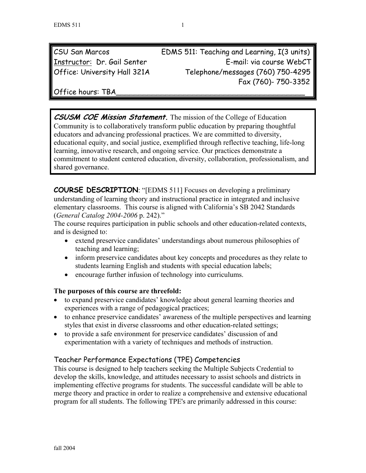| CSU San Marcos               | EDMS 511: Teaching and Learning, I(3 units) |
|------------------------------|---------------------------------------------|
| Instructor: Dr. Gail Senter  | E-mail: via course WebCT                    |
| Office: University Hall 321A | Telephone/messages (760) 750-4295           |
|                              | Fax (760)- 750-3352                         |

Office hours: TBA

**CSUSM COE Mission Statement.** The mission of the College of Education Community is to collaboratively transform public education by preparing thoughtful educators and advancing professional practices. We are committed to diversity, educational equity, and social justice, exemplified through reflective teaching, life-long learning, innovative research, and ongoing service. Our practices demonstrate a commitment to student centered education, diversity, collaboration, professionalism, and shared governance.

**COURSE DESCRIPTION**: "[EDMS 511] Focuses on developing a preliminary understanding of learning theory and instructional practice in integrated and inclusive elementary classrooms. This course is aligned with California's SB 2042 Standards (*General Catalog 2004-2006* p. 242)."

The course requires participation in public schools and other education-related contexts, and is designed to:

- extend preservice candidates' understandings about numerous philosophies of teaching and learning;
- inform preservice candidates about key concepts and procedures as they relate to students learning English and students with special education labels;
- encourage further infusion of technology into curriculums.

## **The purposes of this course are threefold:**

- to expand preservice candidates' knowledge about general learning theories and experiences with a range of pedagogical practices;
- to enhance preservice candidates' awareness of the multiple perspectives and learning styles that exist in diverse classrooms and other education-related settings;
- to provide a safe environment for preservice candidates' discussion of and experimentation with a variety of techniques and methods of instruction.

## Teacher Performance Expectations (TPE) Competencies

This course is designed to help teachers seeking the Multiple Subjects Credential to develop the skills, knowledge, and attitudes necessary to assist schools and districts in implementing effective programs for students. The successful candidate will be able to merge theory and practice in order to realize a comprehensive and extensive educational program for all students. The following TPE's are primarily addressed in this course: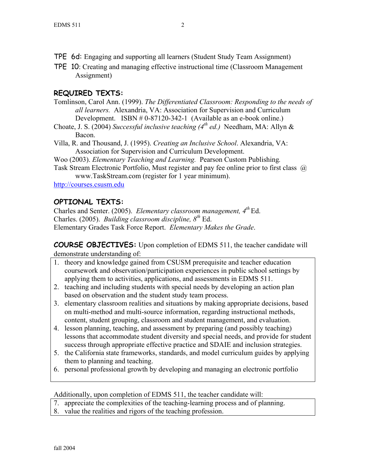- TPE 6d: Engaging and supporting all learners (Student Study Team Assignment)
- TPE 10: Creating and managing effective instructional time (Classroom Management Assignment)

# **REQUIRED TEXTS:**

- Tomlinson, Carol Ann. (1999). *The Differentiated Classroom: Responding to the needs of all learners.* Alexandria, VA: Association for Supervision and Curriculum Development. ISBN # 0-87120-342-1 (Available as an e-book online.)
- Choate, J. S. (2004) *Successful inclusive teaching (4th ed.)* Needham, MA: Allyn & Bacon.
- Villa, R. and Thousand, J. (1995). *Creating an Inclusive School*. Alexandria, VA: Association for Supervision and Curriculum Development.
- Woo (2003). *Elementary Teaching and Learning.* Pearson Custom Publishing*.*
- Task Stream Electronic Portfolio, Must register and pay fee online prior to first class @ www.TaskStream.com (register for 1 year minimum).

http://courses.csusm.edu

# **OPTIONAL TEXTS:**

Charles and Senter. (2005). *Elementary classroom management, 4th* Ed. Charles. (2005). *Building classroom discipline, 8th* Ed. Elementary Grades Task Force Report. *Elementary Makes the Grade*.

**COURSE OBJECTIVES:** Upon completion of EDMS 511, the teacher candidate will demonstrate understanding of:

- 1. theory and knowledge gained from CSUSM prerequisite and teacher education coursework and observation/participation experiences in public school settings by applying them to activities, applications, and assessments in EDMS 511.
- 2. teaching and including students with special needs by developing an action plan based on observation and the student study team process.
- 3. elementary classroom realities and situations by making appropriate decisions, based on multi-method and multi-source information, regarding instructional methods, content, student grouping, classroom and student management, and evaluation.
- 4. lesson planning, teaching, and assessment by preparing (and possibly teaching) lessons that accommodate student diversity and special needs, and provide for student success through appropriate effective practice and SDAIE and inclusion strategies.
- 5. the California state frameworks, standards, and model curriculum guides by applying them to planning and teaching.
- 6. personal professional growth by developing and managing an electronic portfolio

Additionally, upon completion of EDMS 511, the teacher candidate will:

- 7. appreciate the complexities of the teaching-learning process and of planning.
- 8. value the realities and rigors of the teaching profession.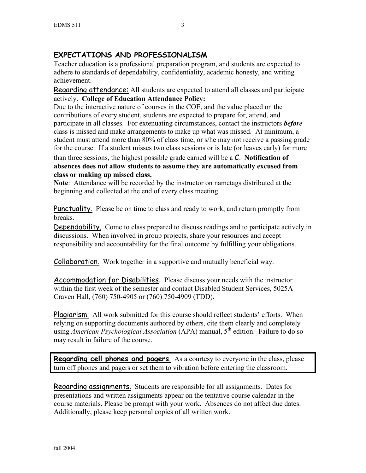# **EXPECTATIONS AND PROFESSIONALISM**

Teacher education is a professional preparation program, and students are expected to adhere to standards of dependability, confidentiality, academic honesty, and writing achievement.

Regarding attendance: All students are expected to attend all classes and participate actively. **College of Education Attendance Policy:** 

Due to the interactive nature of courses in the COE, and the value placed on the contributions of every student, students are expected to prepare for, attend, and participate in all classes. For extenuating circumstances, contact the instructors *before* class is missed and make arrangements to make up what was missed. At minimum, a student must attend more than 80% of class time, or s/he may not receive a passing grade for the course. If a student misses two class sessions or is late (or leaves early) for more than three sessions, the highest possible grade earned will be a C. **Notification of absences does not allow students to assume they are automatically excused from class or making up missed class.** 

**Note**: Attendance will be recorded by the instructor on nametags distributed at the beginning and collected at the end of every class meeting.

Punctuality. Please be on time to class and ready to work, and return promptly from breaks.

Dependability. Come to class prepared to discuss readings and to participate actively in discussions. When involved in group projects, share your resources and accept responsibility and accountability for the final outcome by fulfilling your obligations.

**Collaboration.** Work together in a supportive and mutually beneficial way.

Accommodation for Disabilities. Please discuss your needs with the instructor within the first week of the semester and contact Disabled Student Services, 5025A Craven Hall, (760) 750-4905 or (760) 750-4909 (TDD).

Plagiarism. All work submitted for this course should reflect students' efforts. When relying on supporting documents authored by others, cite them clearly and completely using *American Psychological Association* (APA) manual, 5<sup>th</sup> edition. Failure to do so may result in failure of the course.

**Regarding cell phones and pagers**. As a courtesy to everyone in the class, please turn off phones and pagers or set them to vibration before entering the classroom.

Regarding assignments. Students are responsible for all assignments. Dates for presentations and written assignments appear on the tentative course calendar in the course materials. Please be prompt with your work. Absences do not affect due dates. Additionally, please keep personal copies of all written work.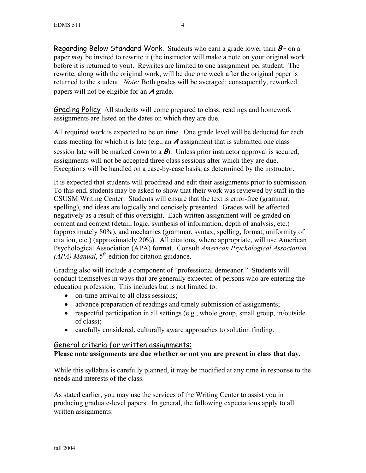Regarding Below Standard Work. Students who earn a grade lower than **B-** on a paper *may* be invited to rewrite it (the instructor will make a note on your original work before it is returned to you). Rewrites are limited to one assignment per student. The rewrite, along with the original work, will be due one week after the original paper is returned to the student. *Note:* Both grades will be averaged; consequently, reworked papers will not be eligible for an **A** grade.

Grading Policy All students will come prepared to class; readings and homework assignments are listed on the dates on which they are due.

All required work is expected to be on time. One grade level will be deducted for each class meeting for which it is late (e.g., an **A** assignment that is submitted one class session late will be marked down to a **B**). Unless prior instructor approval is secured, assignments will not be accepted three class sessions after which they are due. Exceptions will be handled on a case-by-case basis, as determined by the instructor.

It is expected that students will proofread and edit their assignments prior to submission. To this end, students may be asked to show that their work was reviewed by staff in the CSUSM Writing Center. Students will ensure that the text is error-free (grammar, spelling), and ideas are logically and concisely presented. Grades will be affected negatively as a result of this oversight. Each written assignment will be graded on content and context (detail, logic, synthesis of information, depth of analysis, etc.) (approximately 80%), and mechanics (grammar, syntax, spelling, format, uniformity of citation, etc.) (approximately 20%). All citations, where appropriate, will use American Psychological Association (APA) format. Consult *American Psychological Association (APA) Manual*,  $5<sup>th</sup>$  edition for citation guidance.

Grading also will include a component of "professional demeanor." Students will conduct themselves in ways that are generally expected of persons who are entering the education profession. This includes but is not limited to:

- on-time arrival to all class sessions;
- advance preparation of readings and timely submission of assignments;
- respectful participation in all settings (e.g., whole group, small group, in/outside of class);
- carefully considered, culturally aware approaches to solution finding.

## General criteria for written assignments:

**Please note assignments are due whether or not you are present in class that day.** 

While this syllabus is carefully planned, it may be modified at any time in response to the needs and interests of the class.

As stated earlier, you may use the services of the Writing Center to assist you in producing graduate-level papers. In general, the following expectations apply to all written assignments: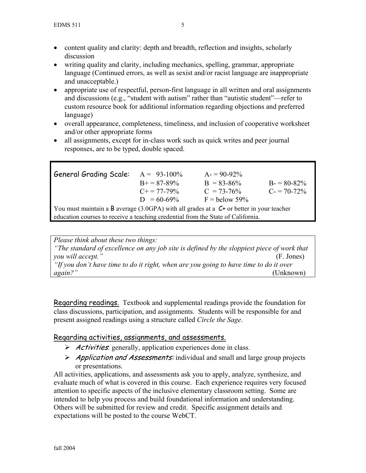- content quality and clarity: depth and breadth, reflection and insights, scholarly discussion
- writing quality and clarity, including mechanics, spelling, grammar, appropriate language (Continued errors, as well as sexist and/or racist language are inappropriate and unacceptable.)
- appropriate use of respectful, person-first language in all written and oral assignments and discussions (e.g., "student with autism" rather than "autistic student"—refer to custom resource book for additional information regarding objections and preferred language)
- overall appearance, completeness, timeliness, and inclusion of cooperative worksheet and/or other appropriate forms
- all assignments, except for in-class work such as quick writes and peer journal responses, are to be typed, double spaced.

| <b>General Grading Scale:</b>                                                               | $A = 93-100\%$        | $A = 90-92\%$   |                 |  |  |
|---------------------------------------------------------------------------------------------|-----------------------|-----------------|-----------------|--|--|
|                                                                                             | $B_{+} = 87 - 89\%$   | $B = 83 - 86\%$ | $B = 80 - 82\%$ |  |  |
|                                                                                             | $C_{\pm} = 77 - 79\%$ | $C = 73-76%$    | $C = 70-72\%$   |  |  |
|                                                                                             | $D = 60-69\%$         | $F =$ below 59% |                 |  |  |
| You must maintain a B average (3.0GPA) with all grades at a $C^+$ or better in your teacher |                       |                 |                 |  |  |
| education courses to receive a teaching credential from the State of California.            |                       |                 |                 |  |  |

*Please think about these two things: "The standard of excellence on any job site is defined by the sloppiest piece of work that you will accept."* (F. Jones) *"If you don't have time to do it right, when are you going to have time to do it over again?"* (Unknown)

Regarding readings. Textbook and supplemental readings provide the foundation for class discussions, participation, and assignments. Students will be responsible for and present assigned readings using a structure called *Circle the Sage*.

## Regarding activities, assignments, and assessments.

- $\triangleright$  *Activities*: generally, application experiences done in class.
- $\triangleright$  Application and Assessments: individual and small and large group projects or presentations.

All activities, applications, and assessments ask you to apply, analyze, synthesize, and evaluate much of what is covered in this course. Each experience requires very focused attention to specific aspects of the inclusive elementary classroom setting. Some are intended to help you process and build foundational information and understanding. Others will be submitted for review and credit. Specific assignment details and expectations will be posted to the course WebCT.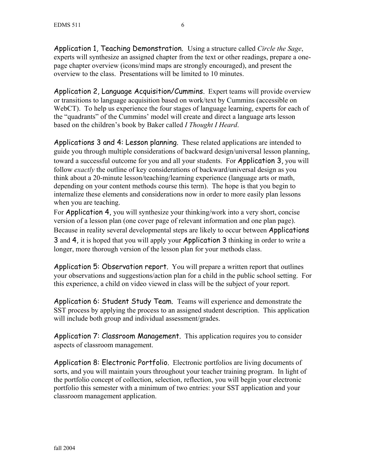Application 1, Teaching Demonstration. Using a structure called *Circle the Sage*, experts will synthesize an assigned chapter from the text or other readings, prepare a onepage chapter overview (icons/mind maps are strongly encouraged), and present the overview to the class. Presentations will be limited to 10 minutes.

Application 2, Language Acquisition/Cummins. Expert teams will provide overview or transitions to language acquisition based on work/text by Cummins (accessible on WebCT). To help us experience the four stages of language learning, experts for each of the "quadrants" of the Cummins' model will create and direct a language arts lesson based on the children's book by Baker called *I Thought I Heard*.

Applications 3 and 4: Lesson planning. These related applications are intended to guide you through multiple considerations of backward design/universal lesson planning, toward a successful outcome for you and all your students. For Application 3, you will follow *exactly* the outline of key considerations of backward/universal design as you think about a 20-minute lesson/teaching/learning experience (language arts or math, depending on your content methods course this term). The hope is that you begin to internalize these elements and considerations now in order to more easily plan lessons when you are teaching.

For Application 4, you will synthesize your thinking/work into a very short, concise version of a lesson plan (one cover page of relevant information and one plan page). Because in reality several developmental steps are likely to occur between **Applications** 3 and 4, it is hoped that you will apply your Application 3 thinking in order to write a longer, more thorough version of the lesson plan for your methods class.

Application 5: Observation report. You will prepare a written report that outlines your observations and suggestions/action plan for a child in the public school setting. For this experience, a child on video viewed in class will be the subject of your report.

Application 6: Student Study Team. Teams will experience and demonstrate the SST process by applying the process to an assigned student description. This application will include both group and individual assessment/grades.

Application 7: Classroom Management. This application requires you to consider aspects of classroom management.

Application 8: Electronic Portfolio. Electronic portfolios are living documents of sorts, and you will maintain yours throughout your teacher training program. In light of the portfolio concept of collection, selection, reflection, you will begin your electronic portfolio this semester with a minimum of two entries: your SST application and your classroom management application.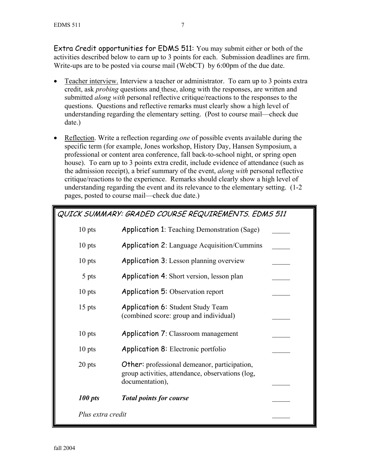Extra Credit opportunities for EDMS 511: You may submit either or both of the activities described below to earn up to 3 points for each. Submission deadlines are firm. Write-ups are to be posted via course mail (WebCT) by 6:00pm of the due date.

- Teacher interview. Interview a teacher or administrator. To earn up to 3 points extra credit, ask *probing* questions and these, along with the responses, are written and submitted *along with* personal reflective critique/reactions to the responses to the questions. Questions and reflective remarks must clearly show a high level of understanding regarding the elementary setting. (Post to course mail—check due date.)
- Reflection. Write a reflection regarding *one* of possible events available during the specific term (for example, Jones workshop, History Day, Hansen Symposium, a professional or content area conference, fall back-to-school night, or spring open house). To earn up to 3 points extra credit, include evidence of attendance (such as the admission receipt), a brief summary of the event, *along with* personal reflective critique/reactions to the experience. Remarks should clearly show a high level of understanding regarding the event and its relevance to the elementary setting. (1-2 pages, posted to course mail—check due date.)

| QUICK SUMMARY: GRADED COURSE REQUIREMENTS. EDMS 511 |                                                                                                                            |  |  |
|-----------------------------------------------------|----------------------------------------------------------------------------------------------------------------------------|--|--|
| $10$ pts                                            | <b>Application 1:</b> Teaching Demonstration (Sage)                                                                        |  |  |
| $10$ pts                                            | <b>Application 2:</b> Language Acquisition/Cummins                                                                         |  |  |
| $10$ pts                                            | <b>Application 3:</b> Lesson planning overview                                                                             |  |  |
| 5 pts                                               | <b>Application 4:</b> Short version, lesson plan                                                                           |  |  |
| 10 pts                                              | <b>Application 5: Observation report</b>                                                                                   |  |  |
| $15$ pts                                            | <b>Application 6: Student Study Team</b><br>(combined score: group and individual)                                         |  |  |
| $10$ pts                                            | <b>Application 7: Classroom management</b>                                                                                 |  |  |
| $10$ pts                                            | <b>Application 8:</b> Electronic portfolio                                                                                 |  |  |
| 20 pts                                              | <b>Other:</b> professional demeanor, participation,<br>group activities, attendance, observations (log,<br>documentation), |  |  |
| 100 pts                                             | <b>Total points for course</b>                                                                                             |  |  |
| Plus extra credit                                   |                                                                                                                            |  |  |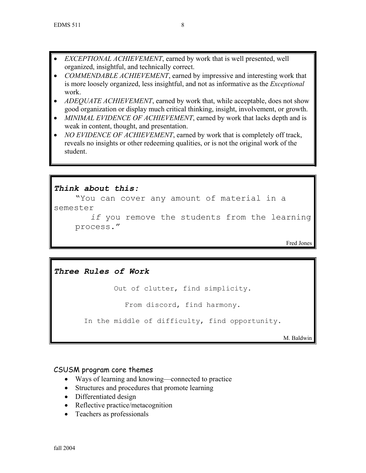- *EXCEPTIONAL ACHIEVEMENT*, earned by work that is well presented, well organized, insightful, and technically correct.
- *COMMENDABLE ACHIEVEMENT*, earned by impressive and interesting work that is more loosely organized, less insightful, and not as informative as the *Exceptional*  work.
- *ADEQUATE ACHIEVEMENT*, earned by work that, while acceptable, does not show good organization or display much critical thinking, insight, involvement, or growth.
- *MINIMAL EVIDENCE OF ACHIEVEMENT*, earned by work that lacks depth and is weak in content, thought, and presentation.
- *NO EVIDENCE OF ACHIEVEMENT*, earned by work that is completely off track, reveals no insights or other redeeming qualities, or is not the original work of the student.

### *Think about this:*

"You can cover any amount of material in a semester *if* you remove the students from the learning process."

Fred Jones

## *Three Rules of Work*

Out of clutter, find simplicity.

From discord, find harmony.

In the middle of difficulty, find opportunity.

M. Baldwin

### CSUSM program core themes

- Ways of learning and knowing—connected to practice
- Structures and procedures that promote learning
- Differentiated design
- Reflective practice/metacognition
- Teachers as professionals